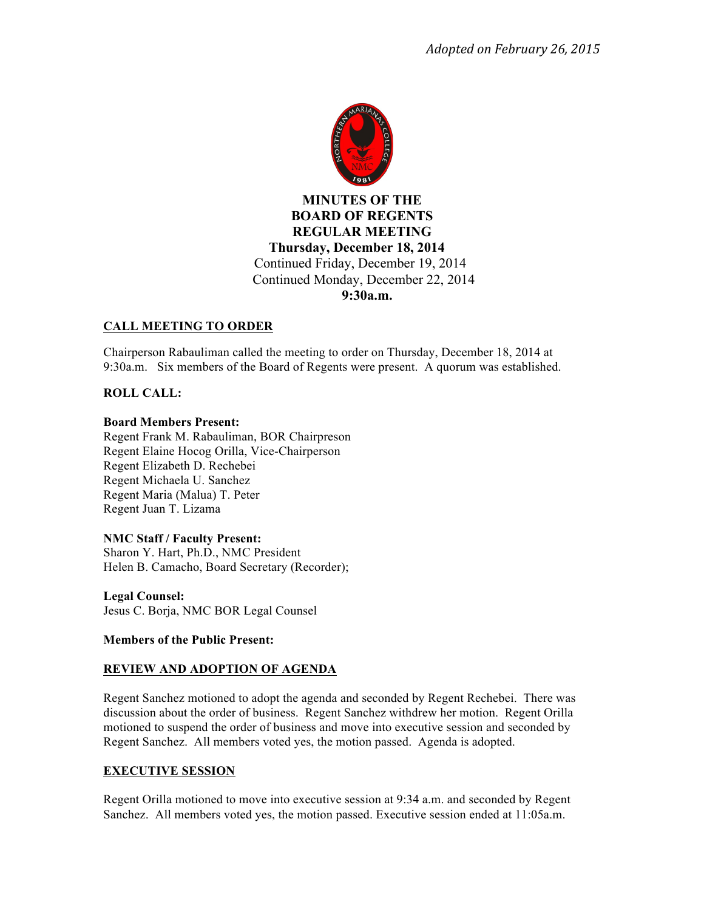

# **MINUTES OF THE BOARD OF REGENTS REGULAR MEETING Thursday, December 18, 2014** Continued Friday, December 19, 2014 Continued Monday, December 22, 2014  **9:30a.m.**

# **CALL MEETING TO ORDER**

Chairperson Rabauliman called the meeting to order on Thursday, December 18, 2014 at 9:30a.m. Six members of the Board of Regents were present. A quorum was established.

### **ROLL CALL:**

#### **Board Members Present:**

Regent Frank M. Rabauliman, BOR Chairpreson Regent Elaine Hocog Orilla, Vice-Chairperson Regent Elizabeth D. Rechebei Regent Michaela U. Sanchez Regent Maria (Malua) T. Peter Regent Juan T. Lizama

### **NMC Staff / Faculty Present:**

Sharon Y. Hart, Ph.D., NMC President Helen B. Camacho, Board Secretary (Recorder);

**Legal Counsel:**  Jesus C. Borja, NMC BOR Legal Counsel

### **Members of the Public Present:**

# **REVIEW AND ADOPTION OF AGENDA**

Regent Sanchez motioned to adopt the agenda and seconded by Regent Rechebei. There was discussion about the order of business. Regent Sanchez withdrew her motion. Regent Orilla motioned to suspend the order of business and move into executive session and seconded by Regent Sanchez. All members voted yes, the motion passed. Agenda is adopted.

# **EXECUTIVE SESSION**

Regent Orilla motioned to move into executive session at 9:34 a.m. and seconded by Regent Sanchez. All members voted yes, the motion passed. Executive session ended at 11:05a.m.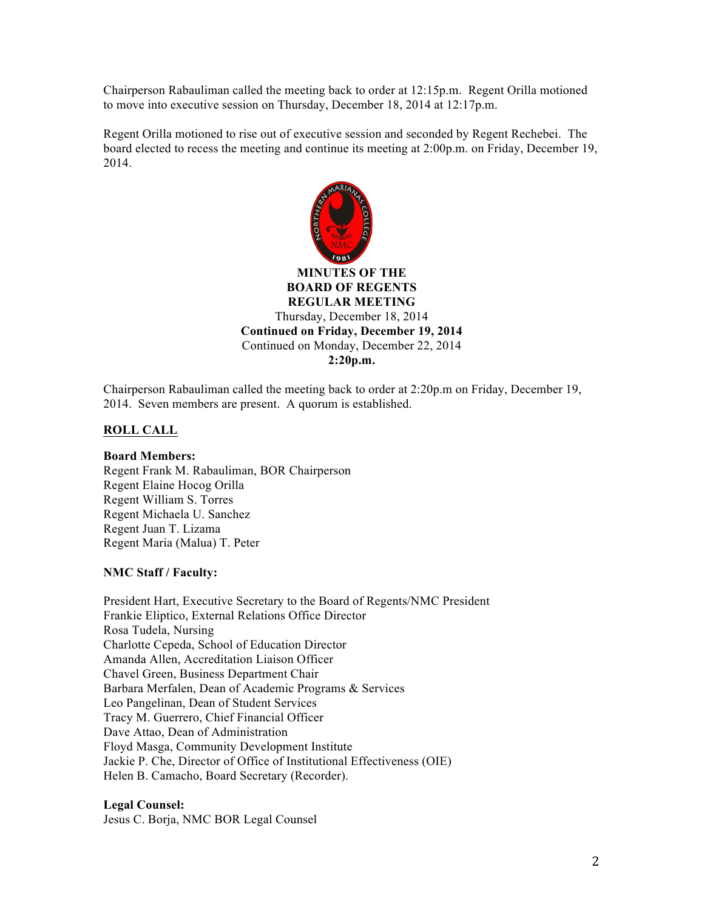Chairperson Rabauliman called the meeting back to order at 12:15p.m. Regent Orilla motioned to move into executive session on Thursday, December 18, 2014 at 12:17p.m.

Regent Orilla motioned to rise out of executive session and seconded by Regent Rechebei. The board elected to recess the meeting and continue its meeting at 2:00p.m. on Friday, December 19, 2014.



**BOARD OF REGENTS REGULAR MEETING** Thursday, December 18, 2014 **Continued on Friday, December 19, 2014**  Continued on Monday, December 22, 2014 **2:20p.m.**

Chairperson Rabauliman called the meeting back to order at 2:20p.m on Friday, December 19, 2014. Seven members are present. A quorum is established.

### **ROLL CALL**

**Board Members:** Regent Frank M. Rabauliman, BOR Chairperson Regent Elaine Hocog Orilla Regent William S. Torres Regent Michaela U. Sanchez Regent Juan T. Lizama Regent Maria (Malua) T. Peter

### **NMC Staff / Faculty:**

President Hart, Executive Secretary to the Board of Regents/NMC President Frankie Eliptico, External Relations Office Director Rosa Tudela, Nursing Charlotte Cepeda, School of Education Director Amanda Allen, Accreditation Liaison Officer Chavel Green, Business Department Chair Barbara Merfalen, Dean of Academic Programs & Services Leo Pangelinan, Dean of Student Services Tracy M. Guerrero, Chief Financial Officer Dave Attao, Dean of Administration Floyd Masga, Community Development Institute Jackie P. Che, Director of Office of Institutional Effectiveness (OIE) Helen B. Camacho, Board Secretary (Recorder).

**Legal Counsel:**

Jesus C. Borja, NMC BOR Legal Counsel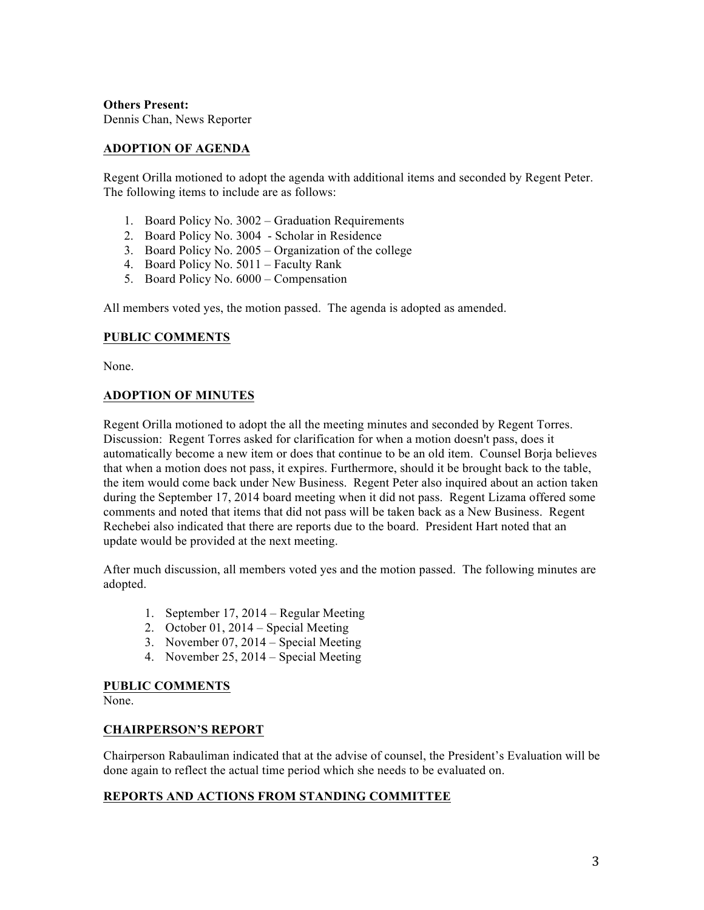**Others Present:** Dennis Chan, News Reporter

# **ADOPTION OF AGENDA**

Regent Orilla motioned to adopt the agenda with additional items and seconded by Regent Peter. The following items to include are as follows:

- 1. Board Policy No. 3002 Graduation Requirements
- 2. Board Policy No. 3004 Scholar in Residence
- 3. Board Policy No. 2005 Organization of the college
- 4. Board Policy No. 5011 Faculty Rank
- 5. Board Policy No. 6000 Compensation

All members voted yes, the motion passed. The agenda is adopted as amended.

# **PUBLIC COMMENTS**

None.

# **ADOPTION OF MINUTES**

Regent Orilla motioned to adopt the all the meeting minutes and seconded by Regent Torres. Discussion: Regent Torres asked for clarification for when a motion doesn't pass, does it automatically become a new item or does that continue to be an old item. Counsel Borja believes that when a motion does not pass, it expires. Furthermore, should it be brought back to the table, the item would come back under New Business. Regent Peter also inquired about an action taken during the September 17, 2014 board meeting when it did not pass. Regent Lizama offered some comments and noted that items that did not pass will be taken back as a New Business. Regent Rechebei also indicated that there are reports due to the board. President Hart noted that an update would be provided at the next meeting.

After much discussion, all members voted yes and the motion passed. The following minutes are adopted.

- 1. September 17, 2014 Regular Meeting
- 2. October 01, 2014 Special Meeting
- 3. November 07, 2014 Special Meeting
- 4. November 25, 2014 Special Meeting

### **PUBLIC COMMENTS**

None.

### **CHAIRPERSON'S REPORT**

Chairperson Rabauliman indicated that at the advise of counsel, the President's Evaluation will be done again to reflect the actual time period which she needs to be evaluated on.

# **REPORTS AND ACTIONS FROM STANDING COMMITTEE**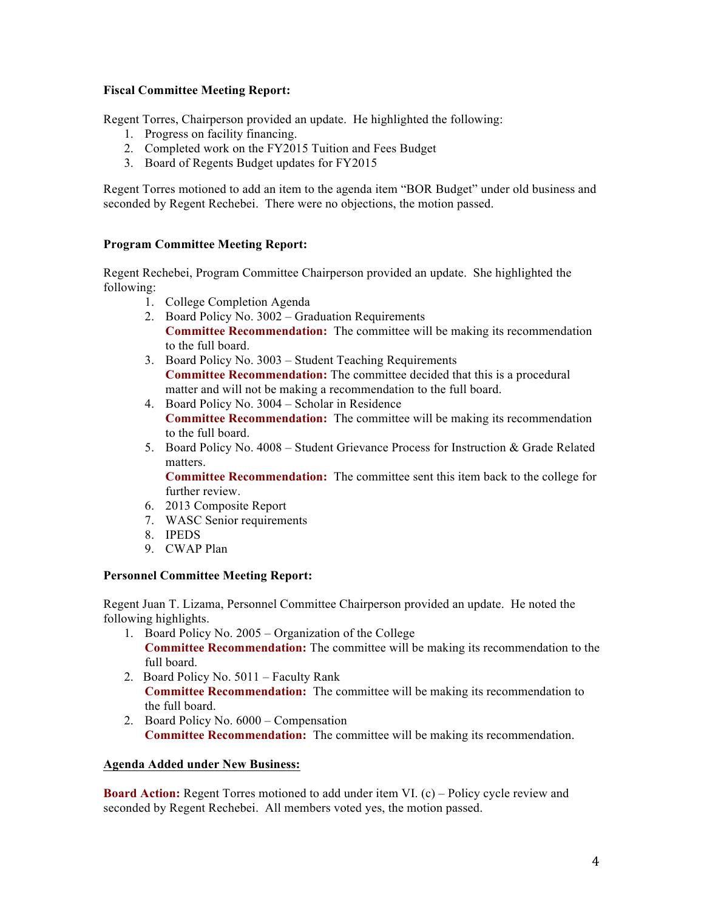### **Fiscal Committee Meeting Report:**

Regent Torres, Chairperson provided an update. He highlighted the following:

- 1. Progress on facility financing.
- 2. Completed work on the FY2015 Tuition and Fees Budget
- 3. Board of Regents Budget updates for FY2015

Regent Torres motioned to add an item to the agenda item "BOR Budget" under old business and seconded by Regent Rechebei. There were no objections, the motion passed.

### **Program Committee Meeting Report:**

Regent Rechebei, Program Committee Chairperson provided an update. She highlighted the following:

- 1. College Completion Agenda
- 2. Board Policy No. 3002 Graduation Requirements **Committee Recommendation:** The committee will be making its recommendation to the full board.
- 3. Board Policy No. 3003 Student Teaching Requirements **Committee Recommendation:** The committee decided that this is a procedural matter and will not be making a recommendation to the full board.
- 4. Board Policy No. 3004 Scholar in Residence **Committee Recommendation:** The committee will be making its recommendation to the full board.
- 5. Board Policy No. 4008 Student Grievance Process for Instruction & Grade Related matters.

**Committee Recommendation:** The committee sent this item back to the college for further review.

- 6. 2013 Composite Report
- 7. WASC Senior requirements
- 8. IPEDS
- 9. CWAP Plan

### **Personnel Committee Meeting Report:**

Regent Juan T. Lizama, Personnel Committee Chairperson provided an update. He noted the following highlights.

- 1. Board Policy No. 2005 Organization of the College **Committee Recommendation:** The committee will be making its recommendation to the full board.
- 2. Board Policy No. 5011 Faculty Rank **Committee Recommendation:** The committee will be making its recommendation to the full board.
- 2. Board Policy No. 6000 Compensation **Committee Recommendation:** The committee will be making its recommendation.

### **Agenda Added under New Business:**

**Board Action:** Regent Torres motioned to add under item VI. (c) – Policy cycle review and seconded by Regent Rechebei. All members voted yes, the motion passed.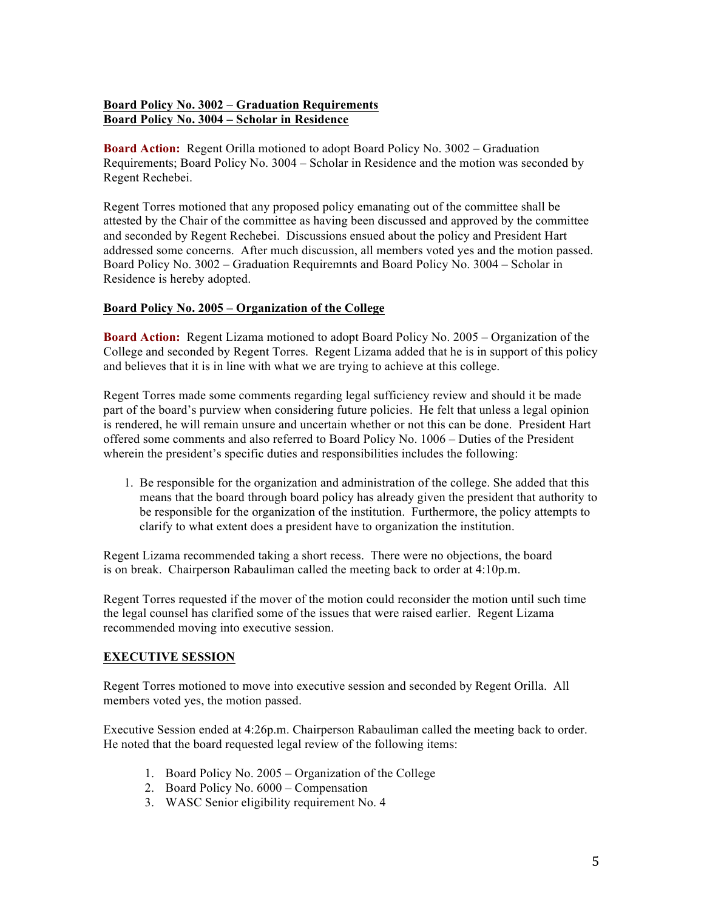# **Board Policy No. 3002 – Graduation Requirements Board Policy No. 3004 – Scholar in Residence**

**Board Action:** Regent Orilla motioned to adopt Board Policy No. 3002 – Graduation Requirements; Board Policy No. 3004 – Scholar in Residence and the motion was seconded by Regent Rechebei.

Regent Torres motioned that any proposed policy emanating out of the committee shall be attested by the Chair of the committee as having been discussed and approved by the committee and seconded by Regent Rechebei. Discussions ensued about the policy and President Hart addressed some concerns. After much discussion, all members voted yes and the motion passed. Board Policy No. 3002 – Graduation Requiremnts and Board Policy No. 3004 – Scholar in Residence is hereby adopted.

### **Board Policy No. 2005 – Organization of the College**

**Board Action:** Regent Lizama motioned to adopt Board Policy No. 2005 – Organization of the College and seconded by Regent Torres. Regent Lizama added that he is in support of this policy and believes that it is in line with what we are trying to achieve at this college.

Regent Torres made some comments regarding legal sufficiency review and should it be made part of the board's purview when considering future policies. He felt that unless a legal opinion is rendered, he will remain unsure and uncertain whether or not this can be done. President Hart offered some comments and also referred to Board Policy No. 1006 – Duties of the President wherein the president's specific duties and responsibilities includes the following:

1. Be responsible for the organization and administration of the college. She added that this means that the board through board policy has already given the president that authority to be responsible for the organization of the institution. Furthermore, the policy attempts to clarify to what extent does a president have to organization the institution.

Regent Lizama recommended taking a short recess. There were no objections, the board is on break. Chairperson Rabauliman called the meeting back to order at 4:10p.m.

Regent Torres requested if the mover of the motion could reconsider the motion until such time the legal counsel has clarified some of the issues that were raised earlier. Regent Lizama recommended moving into executive session.

# **EXECUTIVE SESSION**

Regent Torres motioned to move into executive session and seconded by Regent Orilla. All members voted yes, the motion passed.

Executive Session ended at 4:26p.m. Chairperson Rabauliman called the meeting back to order. He noted that the board requested legal review of the following items:

- 1. Board Policy No. 2005 Organization of the College
- 2. Board Policy No. 6000 Compensation
- 3. WASC Senior eligibility requirement No. 4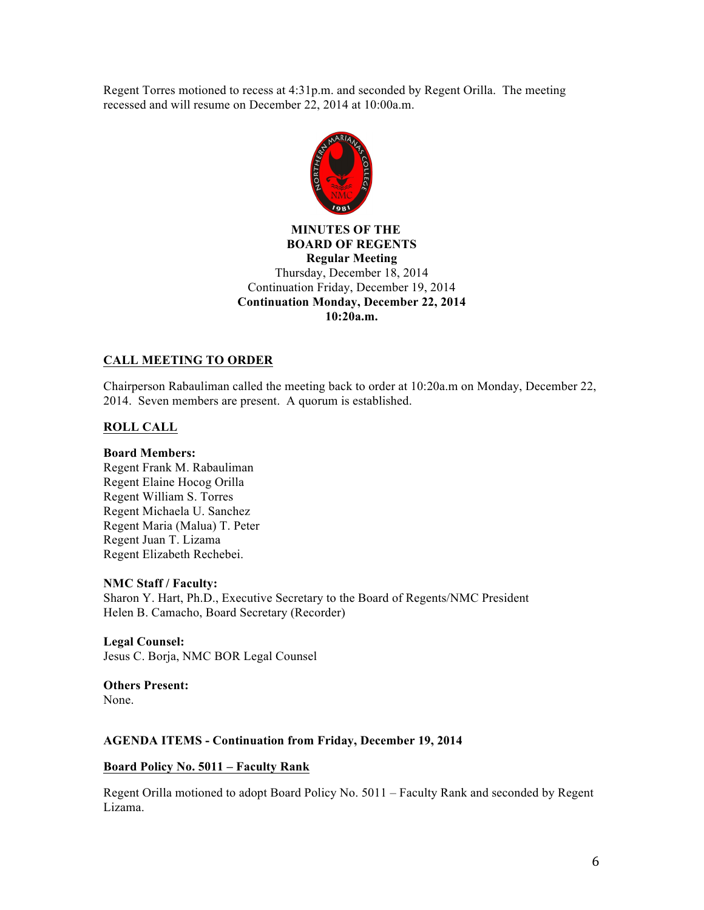Regent Torres motioned to recess at 4:31p.m. and seconded by Regent Orilla. The meeting recessed and will resume on December 22, 2014 at 10:00a.m.



# **MINUTES OF THE BOARD OF REGENTS Regular Meeting** Thursday, December 18, 2014 Continuation Friday, December 19, 2014 **Continuation Monday, December 22, 2014 10:20a.m.**

# **CALL MEETING TO ORDER**

Chairperson Rabauliman called the meeting back to order at 10:20a.m on Monday, December 22, 2014. Seven members are present. A quorum is established.

# **ROLL CALL**

### **Board Members:**

Regent Frank M. Rabauliman Regent Elaine Hocog Orilla Regent William S. Torres Regent Michaela U. Sanchez Regent Maria (Malua) T. Peter Regent Juan T. Lizama Regent Elizabeth Rechebei.

### **NMC Staff / Faculty:**

Sharon Y. Hart, Ph.D., Executive Secretary to the Board of Regents/NMC President Helen B. Camacho, Board Secretary (Recorder)

**Legal Counsel:** Jesus C. Borja, NMC BOR Legal Counsel

**Others Present:**  None.

### **AGENDA ITEMS - Continuation from Friday, December 19, 2014**

#### **Board Policy No. 5011 – Faculty Rank**

Regent Orilla motioned to adopt Board Policy No. 5011 – Faculty Rank and seconded by Regent Lizama.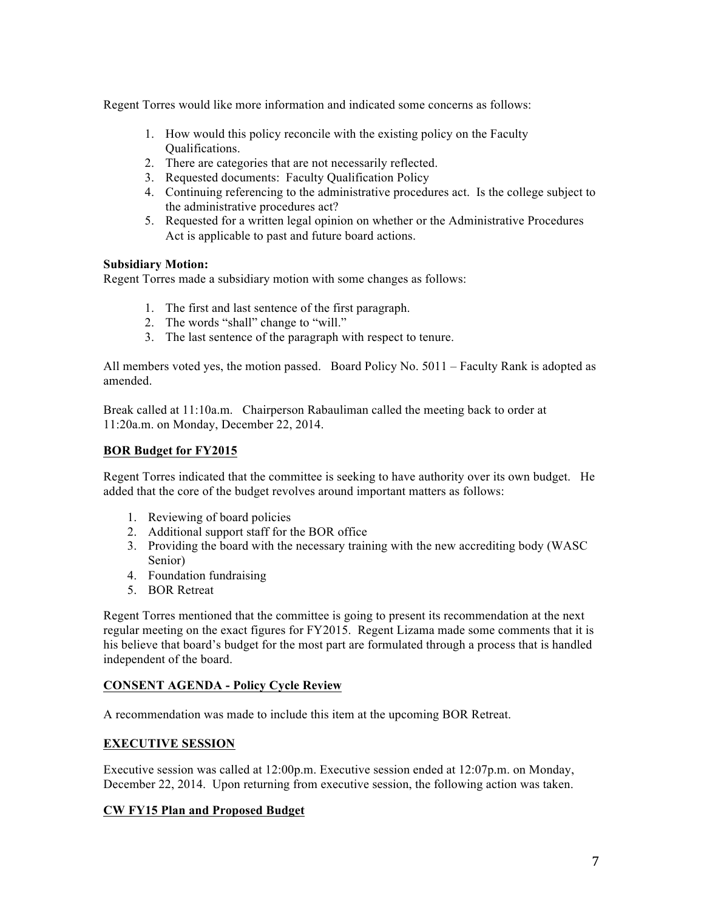Regent Torres would like more information and indicated some concerns as follows:

- 1. How would this policy reconcile with the existing policy on the Faculty Qualifications.
- 2. There are categories that are not necessarily reflected.
- 3. Requested documents: Faculty Qualification Policy
- 4. Continuing referencing to the administrative procedures act. Is the college subject to the administrative procedures act?
- 5. Requested for a written legal opinion on whether or the Administrative Procedures Act is applicable to past and future board actions.

### **Subsidiary Motion:**

Regent Torres made a subsidiary motion with some changes as follows:

- 1. The first and last sentence of the first paragraph.
- 2. The words "shall" change to "will."
- 3. The last sentence of the paragraph with respect to tenure.

All members voted yes, the motion passed. Board Policy No. 5011 – Faculty Rank is adopted as amended.

Break called at 11:10a.m. Chairperson Rabauliman called the meeting back to order at 11:20a.m. on Monday, December 22, 2014.

### **BOR Budget for FY2015**

Regent Torres indicated that the committee is seeking to have authority over its own budget. He added that the core of the budget revolves around important matters as follows:

- 1. Reviewing of board policies
- 2. Additional support staff for the BOR office
- 3. Providing the board with the necessary training with the new accrediting body (WASC Senior)
- 4. Foundation fundraising
- 5. BOR Retreat

Regent Torres mentioned that the committee is going to present its recommendation at the next regular meeting on the exact figures for FY2015. Regent Lizama made some comments that it is his believe that board's budget for the most part are formulated through a process that is handled independent of the board.

# **CONSENT AGENDA - Policy Cycle Review**

A recommendation was made to include this item at the upcoming BOR Retreat.

# **EXECUTIVE SESSION**

Executive session was called at 12:00p.m. Executive session ended at 12:07p.m. on Monday, December 22, 2014. Upon returning from executive session, the following action was taken.

### **CW FY15 Plan and Proposed Budget**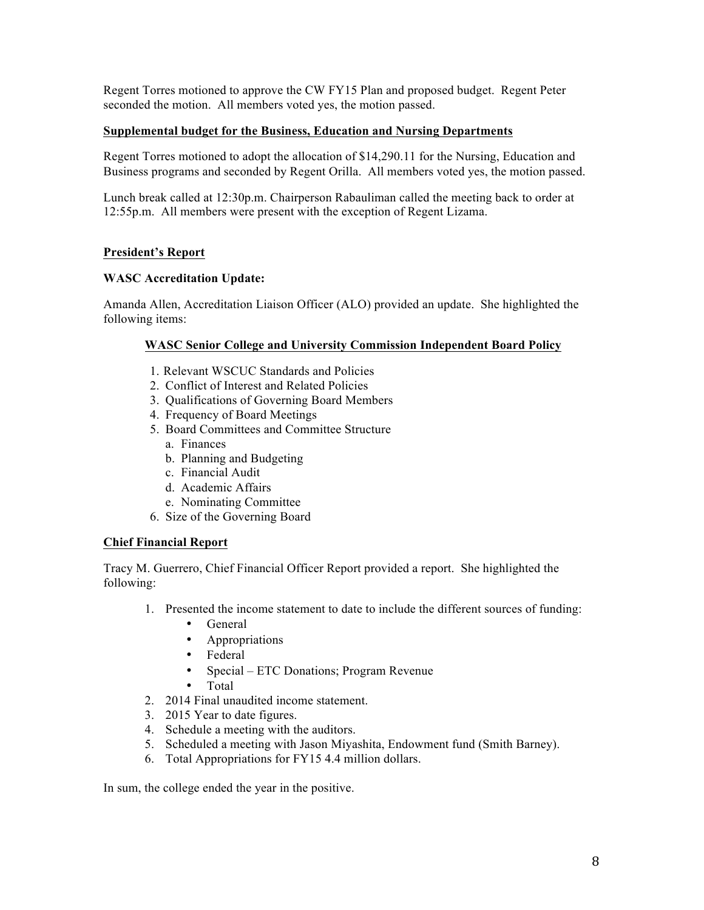Regent Torres motioned to approve the CW FY15 Plan and proposed budget. Regent Peter seconded the motion. All members voted yes, the motion passed.

### **Supplemental budget for the Business, Education and Nursing Departments**

Regent Torres motioned to adopt the allocation of \$14,290.11 for the Nursing, Education and Business programs and seconded by Regent Orilla. All members voted yes, the motion passed.

Lunch break called at 12:30p.m. Chairperson Rabauliman called the meeting back to order at 12:55p.m. All members were present with the exception of Regent Lizama.

### **President's Report**

### **WASC Accreditation Update:**

Amanda Allen, Accreditation Liaison Officer (ALO) provided an update. She highlighted the following items:

### **WASC Senior College and University Commission Independent Board Policy**

- 1. Relevant WSCUC Standards and Policies
- 2. Conflict of Interest and Related Policies
- 3. Qualifications of Governing Board Members
- 4. Frequency of Board Meetings
- 5. Board Committees and Committee Structure
	- a. Finances
	- b. Planning and Budgeting
	- c. Financial Audit
	- d. Academic Affairs
	- e. Nominating Committee
- 6. Size of the Governing Board

### **Chief Financial Report**

Tracy M. Guerrero, Chief Financial Officer Report provided a report. She highlighted the following:

- 1. Presented the income statement to date to include the different sources of funding:
	- General
	- Appropriations
	- Federal
	- Special ETC Donations; Program Revenue
	- Total
- 2. 2014 Final unaudited income statement.
- 3. 2015 Year to date figures.
- 4. Schedule a meeting with the auditors.
- 5. Scheduled a meeting with Jason Miyashita, Endowment fund (Smith Barney).
- 6. Total Appropriations for FY15 4.4 million dollars.

In sum, the college ended the year in the positive.